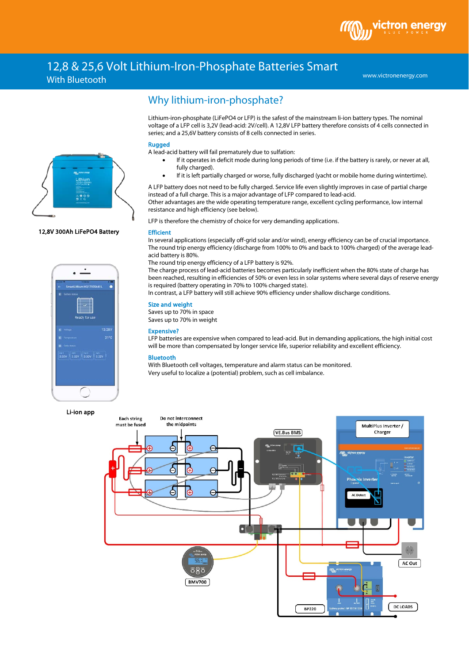## 12,8 & 25,6 Volt Lithium-Iron-Phosphate Batteries Smart With Bluetooth

www.victronenergy.com

# Why lithium-iron-phosphate?

Lithium-iron-phosphate (LiFePO4 or LFP) is the safest of the mainstream li-ion battery types. The nominal voltage of a LFP cell is 3,2V (lead-acid: 2V/cell). A 12,8V LFP battery therefore consists of 4 cells connected in series; and a 25,6V battery consists of 8 cells connected in series.

#### Rugged

A lead-acid battery will fail prematurely due to sulfation:

- If it operates in deficit mode during long periods of time (i.e. if the battery is rarely, or never at all, fully charged).
- If it is left partially charged or worse, fully discharged (yacht or mobile home during wintertime).

A LFP battery does not need to be fully charged. Service life even slightly improves in case of partial charge instead of a full charge. This is a major advantage of LFP compared to lead-acid.

Other advantages are the wide operating temperature range, excellent cycling performance, low internal resistance and high efficiency (see below).

LFP is therefore the chemistry of choice for very demanding applications.

#### **Efficient**

In several applications (especially off-grid solar and/or wind), energy efficiency can be of crucial importance. The round trip energy efficiency (discharge from 100% to 0% and back to 100% charged) of the average leadacid battery is 80%.

The round trip energy efficiency of a LFP battery is 92%.

The charge process of lead-acid batteries becomes particularly inefficient when the 80% state of charge has been reached, resulting in efficiencies of 50% or even less in solar systems where several days of reserve energy is required (battery operating in 70% to 100% charged state).

In contrast, a LFP battery will still achieve 90% efficiency under shallow discharge conditions.

#### Size and weight

Saves up to 70% in space Saves up to 70% in weight

#### Expensive?

LFP batteries are expensive when compared to lead-acid. But in demanding applications, the high initial cost will be more than compensated by longer service life, superior reliability and excellent efficiency.

### Bluetooth

With Bluetooth cell voltages, temperature and alarm status can be monitored. Very useful to localize a (potential) problem, such as cell imbalance.





#### 12,8V 300Ah LiFePO4 Battery